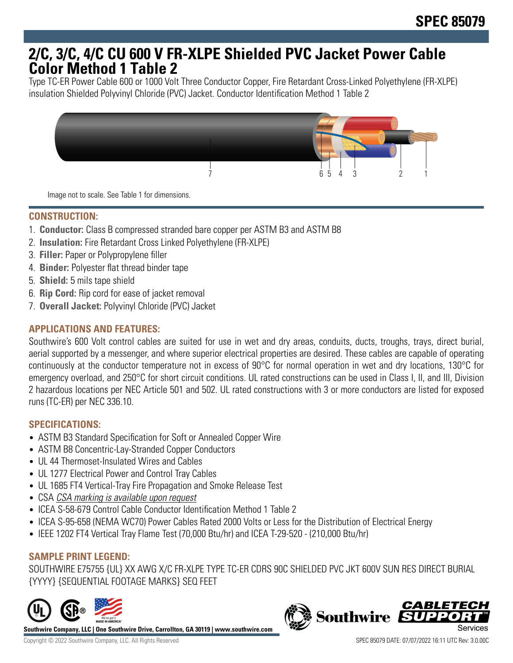# **2/C, 3/C, 4/C CU 600 V FR-XLPE Shielded PVC Jacket Power Cable Color Method 1 Table 2**

Type TC-ER Power Cable 600 or 1000 Volt Three Conductor Copper, Fire Retardant Cross-Linked Polyethylene (FR-XLPE) insulation Shielded Polyvinyl Chloride (PVC) Jacket. Conductor Identification Method 1 Table 2



Image not to scale. See Table 1 for dimensions.

## **CONSTRUCTION:**

- 1. **Conductor:** Class B compressed stranded bare copper per ASTM B3 and ASTM B8
- 2. **Insulation:** Fire Retardant Cross Linked Polyethylene (FR-XLPE)
- 3. **Filler:** Paper or Polypropylene filler
- 4. **Binder:** Polyester flat thread binder tape
- 5. **Shield:** 5 mils tape shield
- 6. **Rip Cord:** Rip cord for ease of jacket removal
- 7. **Overall Jacket:** Polyvinyl Chloride (PVC) Jacket

## **APPLICATIONS AND FEATURES:**

Southwire's 600 Volt control cables are suited for use in wet and dry areas, conduits, ducts, troughs, trays, direct burial, aerial supported by a messenger, and where superior electrical properties are desired. These cables are capable of operating continuously at the conductor temperature not in excess of 90°C for normal operation in wet and dry locations, 130°C for emergency overload, and 250°C for short circuit conditions. UL rated constructions can be used in Class I, II, and III, Division 2 hazardous locations per NEC Article 501 and 502. UL rated constructions with 3 or more conductors are listed for exposed runs (TC-ER) per NEC 336.10.

#### **SPECIFICATIONS:**

- ASTM B3 Standard Specification for Soft or Annealed Copper Wire
- ASTM B8 Concentric-Lay-Stranded Copper Conductors
- UL 44 Thermoset-Insulated Wires and Cables
- UL 1277 Electrical Power and Control Tray Cables
- UL 1685 FT4 Vertical-Tray Fire Propagation and Smoke Release Test
- CSA CSA marking is available upon request
- ICEA S-58-679 Control Cable Conductor Identification Method 1 Table 2
- ICEA S-95-658 (NEMA WC70) Power Cables Rated 2000 Volts or Less for the Distribution of Electrical Energy
- IEEE 1202 FT4 Vertical Tray Flame Test (70,000 Btu/hr) and ICEA T-29-520 (210,000 Btu/hr)

# **SAMPLE PRINT LEGEND:**

SOUTHWIRE E75755 {UL} XX AWG X/C FR-XLPE TYPE TC-ER CDRS 90C SHIELDED PVC JKT 600V SUN RES DIRECT BURIAL {YYYY} {SEQUENTIAL FOOTAGE MARKS} SEQ FEET



**Southwire Company, LLC | One Southwire Drive, Carrollton, GA 30119 | www.southwire.com**